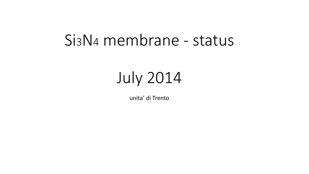## Si3N<sup>4</sup> membrane - status

# July 2014

unita' di Trento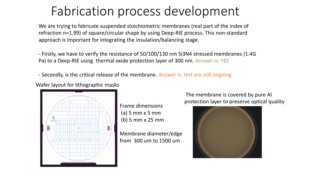## Fabrication process development

We are trying to fabricate suspended stoichiometric membranes (real part of the index of refraction n=1.99) of square/circular shape by using Deep-RIE process. This non-standard approach is important for integrating the insulation/balancing stage.

- Firstly, we have to verify the resistance of 50/100/130 nm Si3N4 stressed membranes (1.4G Pa) to a Deep-RIE using thermal oxide protection layer of 300 nm. Answer is: YES

- Secondly, is the critical release of the membrane. Answer is: test are still ongoing

Wafer layout for lithographic masks



Frame dimensions (a) 5 mm x 5 mm (b) 5 mm x 25 mm

Membrane diameter/edge from 300 um to 1500 um

The membrane is covered by pure Al protection layer to preserve optical quality

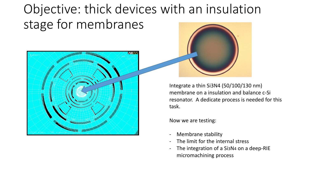## Objective: thick devices with an insulation stage for membranes



Integrate a thin Si3N4 (50/100/130 nm) membrane on a insulation and balance c-Si resonator. A dedicate process is needed for this task.

Now we are testing:

- Membrane stability
- The limit for the internal stress
- The integration of a Si3N4 on a deep-RIE micromachining process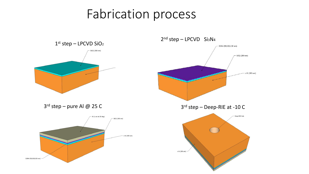### Fabrication process

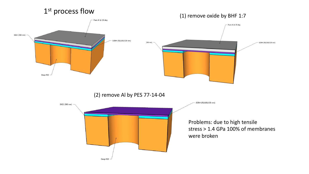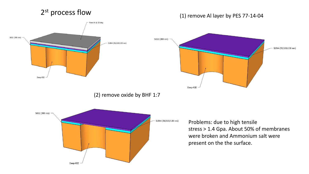#### 2<sup>st</sup> process flow

#### (1) remove Al layer by PES 77-14-04 2

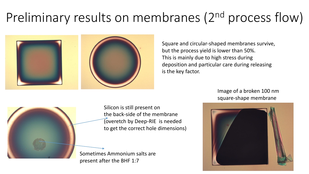## Preliminary results on membranes (2<sup>nd</sup> process flow)



Square and circular-shaped membranes survive, but the process yield is lower than 50%. This is mainly due to high stress during deposition and particular care during releasing is the key factor.

> Image of a broken 100 nm square-shape membrane





Silicon is still present on the back-side of the membrane (overetch by Deep-RIE is needed to get the correct hole dimensions)

Sometimes Ammonium salts are present after the BHF 1:7